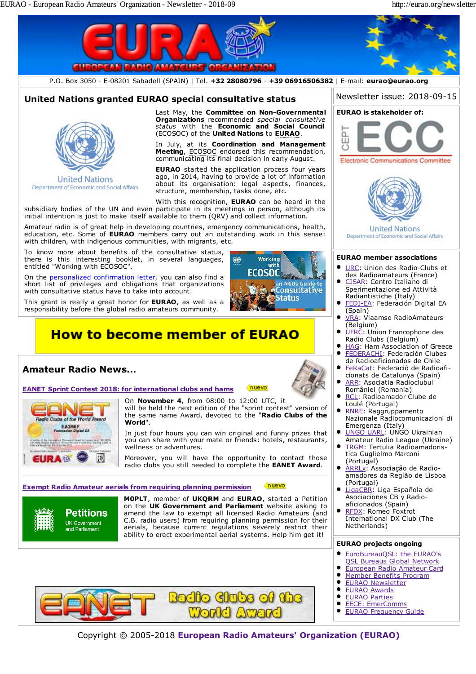